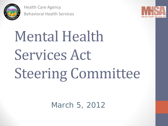

Health Care Agency Behavioral Health Services



# Mental Health Services Act Steering Committee

March 5, 2012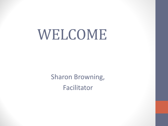# WELCOME

Sharon Browning, Facilitator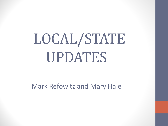# LOCAL/STATE UPDATES

Mark Refowitz and Mary Hale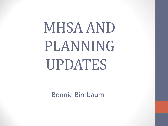# MHSA AND PLANNING UPDATES

Bonnie Birnbaum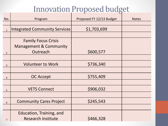## Innovation Proposed budget

| No.            | Program                              | Proposed FY 12/13 Budget | <b>Notes</b> |
|----------------|--------------------------------------|--------------------------|--------------|
|                |                                      |                          |              |
| $\mathbf{1}$   | <b>Integrated Community Services</b> | \$1,703,699              |              |
|                |                                      |                          |              |
|                | <b>Family Focus Crisis</b>           |                          |              |
|                | <b>Management &amp; Community</b>    |                          |              |
| $\overline{2}$ | Outreach                             | \$600,577                |              |
|                |                                      |                          |              |
| $\overline{3}$ | <b>Volunteer to Work</b>             | \$736,340                |              |
|                |                                      |                          |              |
| $\overline{4}$ | <b>OC Accept</b>                     | \$755,409                |              |
|                |                                      |                          |              |
| 5              | <b>VETS Connect</b>                  | \$906,032                |              |
|                |                                      |                          |              |
| $6\,$          | <b>Community Cares Project</b>       | \$245,543                |              |
|                |                                      |                          |              |
|                | Education, Training, and             |                          |              |
| $\overline{7}$ | <b>Research Institute</b>            | \$466,328                |              |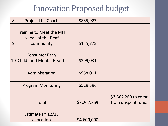#### Innovation Proposed budget

| 8 | <b>Project Life Coach</b>  | \$835,927   |                     |
|---|----------------------------|-------------|---------------------|
|   |                            |             |                     |
|   | Training to Meet the MH    |             |                     |
|   | <b>Needs of the Deaf</b>   |             |                     |
| 9 | Community                  | \$125,775   |                     |
|   |                            |             |                     |
|   | <b>Consumer Early</b>      |             |                     |
|   | 10 Childhood Mental Health | \$399,031   |                     |
|   |                            |             |                     |
|   | Administration             | \$958,011   |                     |
|   |                            |             |                     |
|   | <b>Program Monitoring</b>  | \$529,596   |                     |
|   |                            |             |                     |
|   |                            |             | \$3,662,269 to come |
|   | <b>Total</b>               | \$8,262,269 | from unspent funds  |
|   |                            |             |                     |
|   | Estimate FY 12/13          |             |                     |
|   | allocation                 | \$4,600,000 |                     |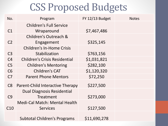| No.             | Program                              | FY 12/13 Budget | <b>Notes</b> |
|-----------------|--------------------------------------|-----------------|--------------|
|                 | <b>Children's Full Service</b>       |                 |              |
| C1              | Wraparound                           | \$7,467,486     |              |
|                 | Children's Outreach &                |                 |              |
| C <sub>2</sub>  | Engagement                           | \$325,145       |              |
|                 | <b>Children's In-Home Crisis</b>     |                 |              |
| C <sub>3</sub>  | Stabilization                        | \$763,156       |              |
| C <sub>4</sub>  | <b>Children's Crisis Residential</b> | \$1,031,821     |              |
| C <sub>5</sub>  | <b>Children's Mentoring</b>          | \$282,100       |              |
| C6              | <b>Children's CAT</b>                | \$1,120,320     |              |
| C <sub>7</sub>  | <b>Parent Phone Mentors</b>          | \$72,250        |              |
| C8              | Parent-Child Interactive Therapy     | \$227,500       |              |
|                 | <b>Dual Diagnosis Residential</b>    |                 |              |
| C <sub>9</sub>  | Treatment                            | \$273,000       |              |
|                 | <b>Medi-Cal Match: Mental Health</b> |                 |              |
| C <sub>10</sub> | <b>Services</b>                      | \$127,500       |              |
|                 | <b>Subtotal Children's Programs</b>  | \$11,690,278    |              |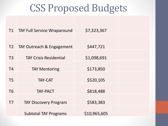|                | <b>T1</b> TAY Full Service Wraparound | \$7,323,367  |  |
|----------------|---------------------------------------|--------------|--|
|                |                                       |              |  |
| T <sub>2</sub> | TAY Outreach & Engagement             | \$447,721    |  |
| T <sub>3</sub> | <b>TAY Crisis Residential</b>         | \$1,098,691  |  |
| T <sub>4</sub> | <b>TAY Mentoring</b>                  | \$173,850    |  |
| T <sub>5</sub> | <b>TAY-CAT</b>                        | \$520,105    |  |
| T <sub>6</sub> | <b>TAY-PACT</b>                       | \$818,488    |  |
| T7             | <b>TAY Discovery Program</b>          | \$583,383    |  |
|                | <b>Subtotal TAY Programs</b>          | \$10,965,605 |  |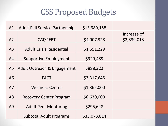| A1             | <b>Adult Full Service Partnership</b> | \$13,989,158 |                            |
|----------------|---------------------------------------|--------------|----------------------------|
| A <sub>2</sub> | <b>CAT/PERT</b>                       | \$4,007,323  | Increase of<br>\$2,339,013 |
| A <sub>3</sub> | <b>Adult Crisis Residential</b>       | \$1,651,229  |                            |
| A <sup>4</sup> | <b>Supportive Employment</b>          | \$929,489    |                            |
| A5             | Adult Outreach & Engagement           | \$888,322    |                            |
| A6             | <b>PACT</b>                           | \$3,317,645  |                            |
| A7             | <b>Wellness Center</b>                | \$1,365,000  |                            |
| A8             | <b>Recovery Center Program</b>        | \$6,630,000  |                            |
| A9             | <b>Adult Peer Mentoring</b>           | \$295,648    |                            |
|                | <b>Subtotal Adult Programs</b>        | \$33,073,814 |                            |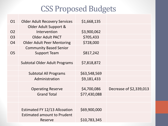| O1             | <b>Older Adult Recovery Services</b> | \$1,668,135  |                         |
|----------------|--------------------------------------|--------------|-------------------------|
|                | Older Adult Support &                |              |                         |
| O <sub>2</sub> | Intervention                         | \$3,900,062  |                         |
| <b>O3</b>      | <b>Older Adult PACT</b>              | \$705,433    |                         |
| O <sub>4</sub> | <b>Older Adult Peer Mentoring</b>    | \$728,000    |                         |
|                | <b>Community Based Senior</b>        |              |                         |
| O <sub>5</sub> | <b>Support Team</b>                  | \$817,242    |                         |
|                |                                      |              |                         |
|                | <b>Subtotal Older Adult Programs</b> | \$7,818,872  |                         |
|                |                                      |              |                         |
|                | <b>Subtotal All Programs</b>         | \$63,548,569 |                         |
|                | Administration                       | \$9,181,433  |                         |
|                |                                      |              |                         |
|                | <b>Operating Reserve</b>             | \$4,700,086  | Decrease of \$2,339,013 |
|                | <b>Grand Total</b>                   | \$77,430,088 |                         |
|                |                                      |              |                         |
|                |                                      |              |                         |
|                | Estimated FY 12/13 Allcoation        | \$69,900,000 |                         |
|                | <b>Estimated amount to Prudent</b>   |              |                         |
|                | Reserve                              | \$10,783,345 |                         |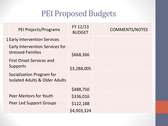| <b>PEI Projects/Programs</b>                                       | FY 12/13<br><b>BUDGET</b> | <b>COMMENTS/NOTES</b> |
|--------------------------------------------------------------------|---------------------------|-----------------------|
| <b>1Early Intervention Services</b>                                |                           |                       |
| <b>Early Intervention Services for</b><br>stressed Families        | \$668,366                 |                       |
| <b>First Onset Services and</b><br>Supports                        | \$3,288,005               |                       |
| <b>Socialization Program for</b><br>Isolated Adults & Older Adults |                           |                       |
|                                                                    | \$488,750                 |                       |
| Peer Mentors for Youth                                             | \$336,016                 |                       |
| <b>Peer Led Support Groups</b>                                     | \$122,188                 |                       |
|                                                                    | \$4,903,324               |                       |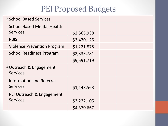| <b>2 School Based Services</b>                        |             |  |
|-------------------------------------------------------|-------------|--|
| <b>School Based Mental Health</b>                     |             |  |
| <b>Services</b>                                       | \$2,565,938 |  |
| <b>PBIS</b>                                           | \$3,470,125 |  |
| <b>Violence Prevention Program</b>                    | \$1,221,875 |  |
| <b>School Readiness Program</b>                       | \$2,333,781 |  |
|                                                       | \$9,591,719 |  |
| <sup>3</sup> Outreach & Engagement<br><b>Services</b> |             |  |
| <b>Information and Referral</b><br><b>Services</b>    |             |  |
|                                                       | \$1,148,563 |  |
| PEI Outreach & Engagement                             |             |  |
| <b>Services</b>                                       | \$3,222,105 |  |
|                                                       | \$4,370,667 |  |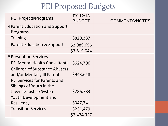| <b>PEI Projects/Programs</b>                                                               | FY 12/13<br><b>BUDGET</b> | <b>COMMENTS/NOTES</b> |
|--------------------------------------------------------------------------------------------|---------------------------|-----------------------|
| 4 Parent Education and Support<br>Programs                                                 |                           |                       |
| <b>Training</b>                                                                            | \$829,387                 |                       |
| <b>Parent Education &amp; Support</b>                                                      | \$2,989,656               |                       |
|                                                                                            | \$3,819,044               |                       |
| <b>5 Prevention Services</b>                                                               |                           |                       |
| <b>PEI Mental Health Consultants</b>                                                       | \$624,706                 |                       |
| <b>Children of Substance Abusers</b><br>and/or Mentally Ill Parents                        | \$943,618                 |                       |
| <b>PEI Services for Parents and</b><br>Siblings of Youth in the<br>Juvenile Justice System | \$286,783                 |                       |
| Youth Development and                                                                      |                           |                       |
| Resiliency                                                                                 | \$347,741                 |                       |
| <b>Transition Services</b>                                                                 | \$231,479                 |                       |
|                                                                                            | \$2,434,327               |                       |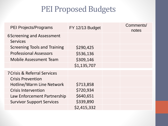| <b>PEI Projects/Programs</b>                        | FY 12/13 Budget | Comments/<br>notes |
|-----------------------------------------------------|-----------------|--------------------|
| <b>6Screening and Assessment</b><br><b>Services</b> |                 |                    |
| <b>Screening Tools and Training</b>                 | \$290,425       |                    |
| <b>Professional Assessors</b>                       | \$536,136       |                    |
| <b>Mobile Assessment Team</b>                       | \$309,146       |                    |
|                                                     | \$1,135,707     |                    |
| <b>7 Crisis &amp; Referral Services</b>             |                 |                    |
| <b>Crisis Prevention</b>                            |                 |                    |
| Hotline/Warm Line Network                           | \$713,858       |                    |
| <b>Crisis Intervention</b>                          | \$720,934       |                    |
| Law Enforcement Partnership                         | \$640,651       |                    |
| <b>Survivor Support Services</b>                    | \$339,890       |                    |
|                                                     | \$2,415,332     |                    |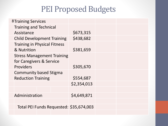| <b>8Training Services</b>                                     |             |  |
|---------------------------------------------------------------|-------------|--|
| <b>Training and Technical</b>                                 |             |  |
| Assistance                                                    | \$673,315   |  |
| <b>Child Development Training</b>                             | \$438,682   |  |
| <b>Training in Physical Fitness</b><br>& Nutrition            | \$381,659   |  |
| <b>Stress Management Training</b><br>for Caregivers & Service |             |  |
| Providers                                                     | \$305,670   |  |
| <b>Community based Stigma</b>                                 |             |  |
| <b>Reduction Training</b>                                     | \$554,687   |  |
|                                                               | \$2,354,013 |  |
|                                                               |             |  |
| Administration                                                | \$4,649,871 |  |
|                                                               |             |  |
| Total PEI Funds Requested: \$35,674,003                       |             |  |
|                                                               |             |  |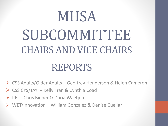# MHSA SUBCOMMITTEE CHAIRS AND VICE CHAIRS REPORTS

CSS Adults/Older Adults – Geoffrey Henderson & Helen Cameron

- CSS CYS/TAY Kelly Tran & Cynthia Coad
- $\triangleright$  PEI Chris Bieber & Daria Waetjen
- WET/Innovation William Gonzalez & Denise Cuellar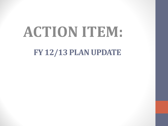# **FY 12/13 PLAN UPDATE ACTION ITEM:**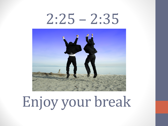# $2:25 - 2:35$



Enjoy your break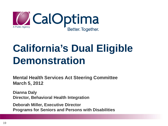

# **California's Dual Eligible Demonstration**

**Mental Health Services Act Steering Committee March 5, 2012**

**Dianna Daly Director, Behavioral Health Integration**

**Deborah Miller, Executive Director Programs for Seniors and Persons with Disabilities**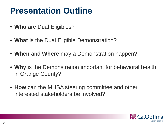### **Presentation Outline**

- **Who** are Dual Eligibles?
- **What** is the Dual Eligible Demonstration?
- **When** and **Where** may a Demonstration happen?
- **Why** is the Demonstration important for behavioral health in Orange County?
- **How** can the MHSA steering committee and other interested stakeholders be involved?

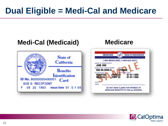## **Dual Eligible = Medi-Cal and Medicare**

#### **Medi-Cal (Medicaid) [Medicare](http://rds.yahoo.com/_ylt=A0S020qg2g5KLPkAuaKjzbkF/SIG=1266bcsgd/EXP=1242573856/**http:/www.paradiseislandinsur.com/images/card.gif)State of** California **JANE DOE Benefits IS ENTITLED TO: HOSPITAL Identification** MEDICAL ID No. 90000000A95001 Card SIGN **SUE G RECIPIENT HERE** 05 20 1993 **Issue Date 01 0 1 05** F



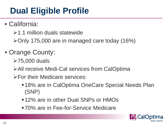# **Dual Eligible Profile**

- California:
	- $\geq 1.1$  million duals statewide
	- $\blacktriangleright$  Only 175,000 are in managed care today (16%)
- Orange County:
	- 75,000 duals
	- All receive Medi-Cal services from CalOptima
	- For their Medicare services:
		- ■18% are in CalOptima OneCare Special Needs Plan (SNP)
		- ■12% are in other Dual SNPs or HMOs
		- 70% are in Fee-for-Service Medicare

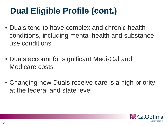# **Dual Eligible Profile (cont.)**

- Duals tend to have complex and chronic health conditions, including mental health and substance use conditions
- Duals account for significant Medi-Cal and Medicare costs
- Changing how Duals receive care is a high priority at the federal and state level

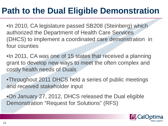## **Path to the Dual Eligible Demonstration**

•In 2010, CA legislature passed SB208 (Steinberg) which authorized the Department of Health Care Services (DHCS) to implement a coordinated care demonstration in four counties

•In 2011, CA was one of 15 states that received a planning grant to develop new ways to meet the often complex and costly health needs of Duals

•Throughout 2011 DHCS held a series of public meetings and received stakeholder input

•On January 27, 2012, DHCS released the Dual eligible Demonstration "Request for Solutions" (RFS)

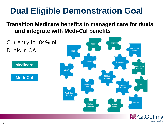## **Dual Eligible Demonstration Goal**

#### **Transition Medicare benefits to managed care for duals and integrate with Medi-Cal benefits**

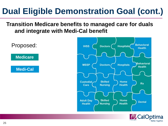# **Dual Eligible Demonstration Goal (cont.)**

#### **Transition Medicare benefits to managed care for duals and integrate with Medi-Cal benefit**

**Medicare** Proposed:

**Medi-Cal**



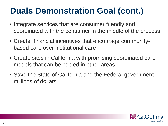# **Duals Demonstration Goal (cont.)**

- Integrate services that are consumer friendly and coordinated with the consumer in the middle of the process
- Create financial incentives that encourage communitybased care over institutional care
- Create sites in California with promising coordinated care models that can be copied in other areas
- Save the State of California and the Federal government millions of dollars

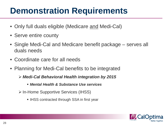## **Demonstration Requirements**

- Only full duals eligible (Medicare and Medi-Cal)
- Serve entire county
- Single Medi-Cal and Medicare benefit package serves all duals needs
- Coordinate care for all needs
- Planning for Medi-Cal benefits to be integrated
	- *Medi-Cal Behavioral Health integration by 2015*
		- *Mental Health & Substance Use services*
	- **≻ In-Home Supportive Services (IHSS)** 
		- IHSS contracted through SSA in first year

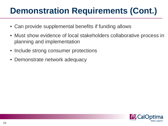# **Demonstration Requirements (Cont.)**

- Can provide supplemental benefits if funding allows
- Must show evidence of local stakeholders collaborative process in planning and implementation
- Include strong consumer protections
- Demonstrate network adequacy

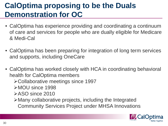#### **CalOptima proposing to be the Duals Demonstration for OC**

- CalOptima has experience providing and coordinating a continuum of care and services for people who are dually eligible for Medicare & Medi-Cal
- CalOptima has been preparing for integration of long term services and supports, including OneCare
- CalOptima has worked closely with HCA in coordinating behavioral health for CalOptima members Collaborative meetings since 1997 MOU since 1998 **≻ASO since 2010** Many collaborative projects, including the Integrated Community Services Project under MHSA Innovations

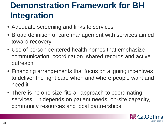# **Demonstration Framework for BH Integration**

- Adequate screening and links to services
- Broad definition of care management with services aimed toward recovery
- Use of person-centered health homes that emphasize communication, coordination, shared records and active outreach
- Financing arrangements that focus on aligning incentives to deliver the right care when and where people want and need it
- There is no one-size-fits-all approach to coordinating services – it depends on patient needs, on-site capacity, community resources and local partnerships

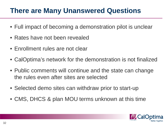#### **There are Many Unanswered Questions**

- Full impact of becoming a demonstration pilot is unclear
- Rates have not been revealed
- Enrollment rules are not clear
- CalOptima's network for the demonstration is not finalized
- Public comments will continue and the state can change the rules even after sites are selected
- Selected demo sites can withdraw prior to start-up
- CMS, DHCS & plan MOU terms unknown at this time

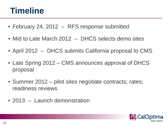#### **Timeline**

- February 24, 2012 RFS response submitted
- Mid to Late March 2012 DHCS selects demo sites
- April 2012 DHCS submits California proposal to CMS
- Late Spring 2012 CMS announces approval of DHCS proposal
- Summer 2012 pilot sites negotiate contracts; rates; readiness reviews
- 2013 Launch demonstration

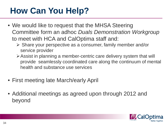## **How Can You Help?**

- We would like to request that the MHSA Steering Committee form an adhoc *Duals Demonstration Workgroup*  to meet with HCA and CalOptima staff and:
	- $\triangleright$  Share your perspective as a consumer, family member and/or service provider
	- Assist in planning a member-centric care delivery system that will provide seamlessly coordinated care along the continuum of mental health and substance use services
- First meeting late March/early April
- Additional meetings as agreed upon through 2012 and beyond

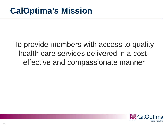#### To provide members with access to quality health care services delivered in a costeffective and compassionate manner

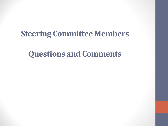#### **Steering Committee Members**

#### **Questions and Comments**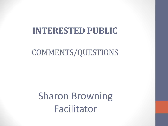#### **INTERESTED PUBLIC**

#### COMMENTS/QUESTIONS

Sharon Browning Facilitator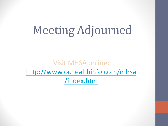# Meeting Adjourned

Visit MHSA online: [http://www.ochealthinfo.com/mhsa](http://www.ochealthinfo.com/mhsa /index.htm)  [/index.htm](http://www.ochealthinfo.com/mhsa /index.htm)